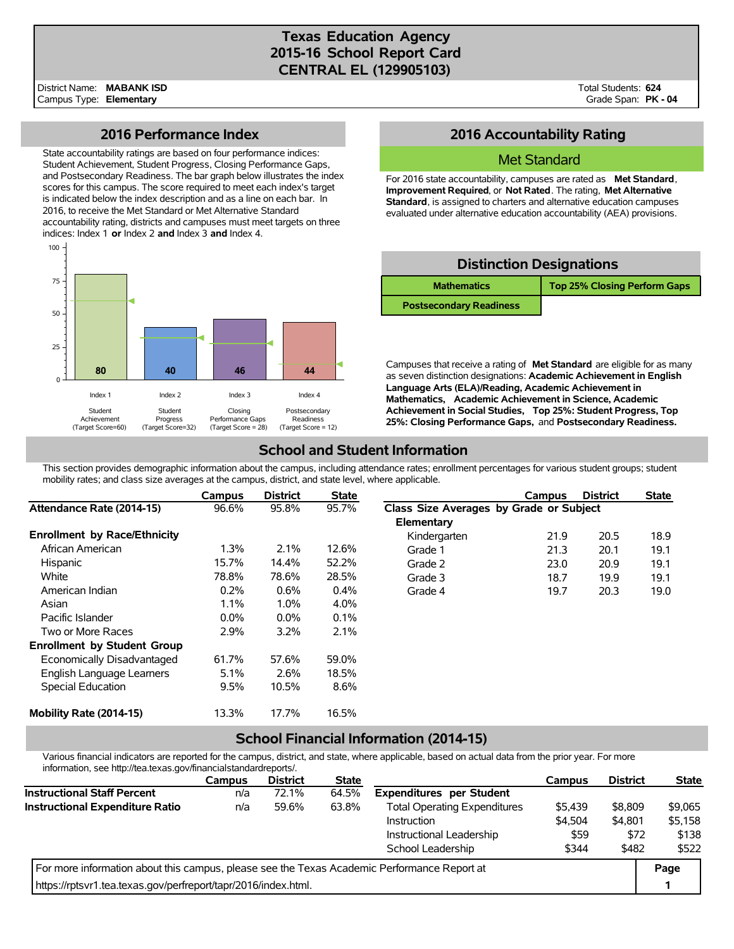# **Texas Education Agency 2015-16 School Report Card CENTRAL EL (129905103)**

District Name: Campus Type: **Elementary MABANK ISD** Total Students: **624** Grade Span: **PK - 04**

### **2016 Performance Index**

State accountability ratings are based on four performance indices: Student Achievement, Student Progress, Closing Performance Gaps, and Postsecondary Readiness. The bar graph below illustrates the index scores for this campus. The score required to meet each index's target is indicated below the index description and as a line on each bar. In 2016, to receive the Met Standard or Met Alternative Standard accountability rating, districts and campuses must meet targets on three indices: Index 1 **or** Index 2 **and** Index 3 **and** Index 4.



## **2016 Accountability Rating**

### Met Standard

For 2016 state accountability, campuses are rated as **Met Standard**, **Improvement Required**, or **Not Rated**. The rating, **Met Alternative Standard**, is assigned to charters and alternative education campuses evaluated under alternative education accountability (AEA) provisions.

| <b>Distinction Designations</b> |                                     |  |  |  |  |  |  |
|---------------------------------|-------------------------------------|--|--|--|--|--|--|
| <b>Mathematics</b>              | <b>Top 25% Closing Perform Gaps</b> |  |  |  |  |  |  |
| <b>Postsecondary Readiness</b>  |                                     |  |  |  |  |  |  |

Campuses that receive a rating of **Met Standard** are eligible for as many as seven distinction designations: **Academic Achievement in English Language Arts (ELA)/Reading, Academic Achievement in Mathematics, Academic Achievement in Science, Academic Achievement in Social Studies, Top 25%: Student Progress, Top 25%: Closing Performance Gaps,** and **Postsecondary Readiness.**

# **School and Student Information**

This section provides demographic information about the campus, including attendance rates; enrollment percentages for various student groups; student mobility rates; and class size averages at the campus, district, and state level, where applicable.

|                                     | Campus  | <b>District</b> | <b>State</b> |                                         | Campus | <b>District</b> | <b>State</b> |  |
|-------------------------------------|---------|-----------------|--------------|-----------------------------------------|--------|-----------------|--------------|--|
| Attendance Rate (2014-15)           | 96.6%   | 95.8%           | 95.7%        | Class Size Averages by Grade or Subject |        |                 |              |  |
|                                     |         |                 |              | Elementary                              |        |                 |              |  |
| <b>Enrollment by Race/Ethnicity</b> |         |                 |              | Kindergarten                            | 21.9   | 20.5            | 18.9         |  |
| African American                    | $1.3\%$ | 2.1%            | 12.6%        | Grade 1                                 | 21.3   | 20.1            | 19.1         |  |
| <b>Hispanic</b>                     | 15.7%   | 14.4%           | 52.2%        | Grade 2                                 | 23.0   | 20.9            | 19.1         |  |
| White                               | 78.8%   | 78.6%           | 28.5%        | Grade 3                                 | 18.7   | 19.9            | 19.1         |  |
| American Indian                     | 0.2%    | 0.6%            | 0.4%         | Grade 4                                 | 19.7   | 20.3            | 19.0         |  |
| Asian                               | 1.1%    | 1.0%            | 4.0%         |                                         |        |                 |              |  |
| Pacific Islander                    | $0.0\%$ | $0.0\%$         | 0.1%         |                                         |        |                 |              |  |
| Two or More Races                   | 2.9%    | 3.2%            | 2.1%         |                                         |        |                 |              |  |
| <b>Enrollment by Student Group</b>  |         |                 |              |                                         |        |                 |              |  |
| Economically Disadvantaged          | 61.7%   | 57.6%           | 59.0%        |                                         |        |                 |              |  |
| English Language Learners           | 5.1%    | 2.6%            | 18.5%        |                                         |        |                 |              |  |
| Special Education                   | 9.5%    | 10.5%           | 8.6%         |                                         |        |                 |              |  |
| Mobility Rate (2014-15)             | 13.3%   | 17.7%           | 16.5%        |                                         |        |                 |              |  |

## **School Financial Information (2014-15)**

Various financial indicators are reported for the campus, district, and state, where applicable, based on actual data from the prior year. For more information, see http://tea.texas.gov/financialstandardreports/.

|                                                                                             | <b>Campus</b> | <b>District</b> | <b>State</b> |                                     | Campus  | <b>District</b> | <b>State</b> |
|---------------------------------------------------------------------------------------------|---------------|-----------------|--------------|-------------------------------------|---------|-----------------|--------------|
| <b>Instructional Staff Percent</b>                                                          | n/a           | 72.1%           | 64.5%        | <b>Expenditures per Student</b>     |         |                 |              |
| <b>Instructional Expenditure Ratio</b>                                                      | n/a           | 59.6%           | 63.8%        | <b>Total Operating Expenditures</b> | \$5.439 | \$8,809         | \$9,065      |
|                                                                                             |               |                 |              | Instruction                         | \$4.504 | \$4,801         | \$5,158      |
|                                                                                             |               |                 |              | Instructional Leadership            | \$59    | \$72            | \$138        |
|                                                                                             |               |                 |              | School Leadership                   | \$344   | \$482           | \$522        |
| For more information about this campus, please see the Texas Academic Performance Report at |               |                 |              |                                     |         |                 | Page         |
| https://rptsvr1.tea.texas.gov/perfreport/tapr/2016/index.html.                              |               |                 |              |                                     |         |                 |              |